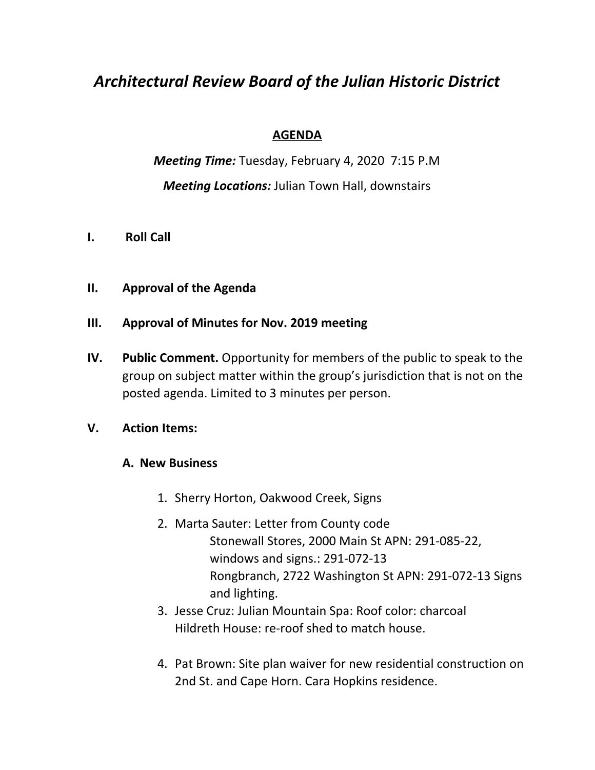# *Architectural Review Board of the Julian Historic District*

## **AGENDA**

*Meeting Time:* Tuesday, February 4, 2020 7:15 P.M *Meeting Locations:* Julian Town Hall, downstairs

- **I. Roll Call**
- **II. Approval of the Agenda**

## **III. Approval of Minutes for Nov. 2019 meeting**

**IV. Public Comment.** Opportunity for members of the public to speak to the group on subject matter within the group's jurisdiction that is not on the posted agenda. Limited to 3 minutes per person.

#### **V. Action Items:**

#### **A. New Business**

- 1. Sherry Horton, Oakwood Creek, Signs
- 2. Marta Sauter: Letter from County code Stonewall Stores, 2000 Main St APN: 291-085-22, windows and signs.: 291-072-13 Rongbranch, 2722 Washington St APN: 291-072-13 Signs and lighting.
- 3. Jesse Cruz: Julian Mountain Spa: Roof color: charcoal Hildreth House: re-roof shed to match house.
- 4. Pat Brown: Site plan waiver for new residential construction on 2nd St. and Cape Horn. Cara Hopkins residence.